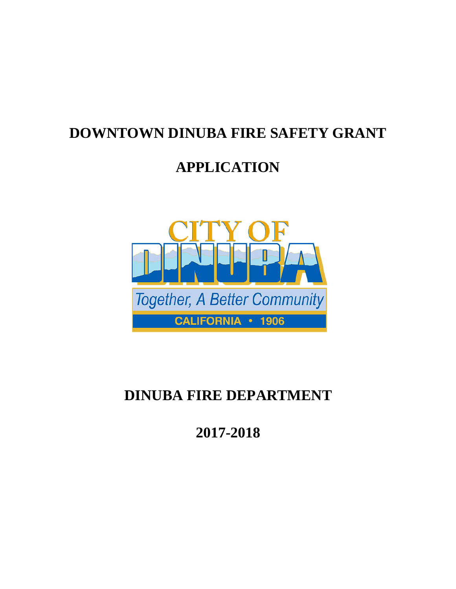## **DOWNTOWN DINUBA FIRE SAFETY GRANT**

# **APPLICATION**



# **DINUBA FIRE DEPARTMENT**

**2017-2018**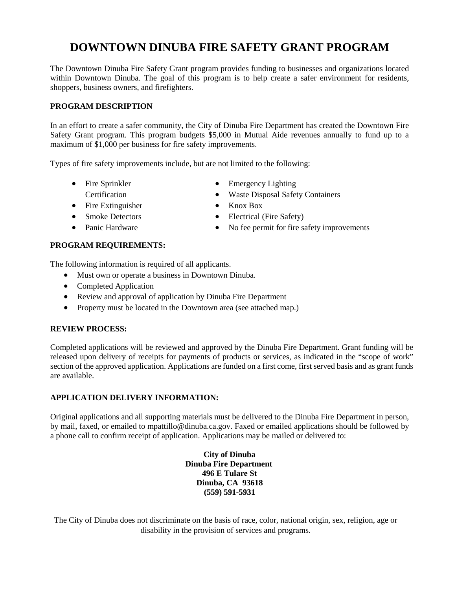### **DOWNTOWN DINUBA FIRE SAFETY GRANT PROGRAM**

The Downtown Dinuba Fire Safety Grant program provides funding to businesses and organizations located within Downtown Dinuba. The goal of this program is to help create a safer environment for residents, shoppers, business owners, and firefighters.

#### **PROGRAM DESCRIPTION**

In an effort to create a safer community, the City of Dinuba Fire Department has created the Downtown Fire Safety Grant program. This program budgets \$5,000 in Mutual Aide revenues annually to fund up to a maximum of \$1,000 per business for fire safety improvements.

Types of fire safety improvements include, but are not limited to the following:

- Fire Sprinkler Certification
- Fire Extinguisher
- Smoke Detectors
- Panic Hardware
- Emergency Lighting
- Waste Disposal Safety Containers
- Knox Box
- Electrical (Fire Safety)
- No fee permit for fire safety improvements

#### **PROGRAM REQUIREMENTS:**

The following information is required of all applicants.

- Must own or operate a business in Downtown Dinuba.
- Completed Application
- Review and approval of application by Dinuba Fire Department
- Property must be located in the Downtown area (see attached map.)

#### **REVIEW PROCESS:**

Completed applications will be reviewed and approved by the Dinuba Fire Department. Grant funding will be released upon delivery of receipts for payments of products or services, as indicated in the "scope of work" section of the approved application. Applications are funded on a first come, first served basis and as grant funds are available.

#### **APPLICATION DELIVERY INFORMATION:**

Original applications and all supporting materials must be delivered to the Dinuba Fire Department in person, by mail, faxed, or emailed to mpattillo@dinuba.ca.gov. Faxed or emailed applications should be followed by a phone call to confirm receipt of application. Applications may be mailed or delivered to:

> **City of Dinuba Dinuba Fire Department 496 E Tulare St Dinuba, CA 93618 (559) 591-5931**

The City of Dinuba does not discriminate on the basis of race, color, national origin, sex, religion, age or disability in the provision of services and programs.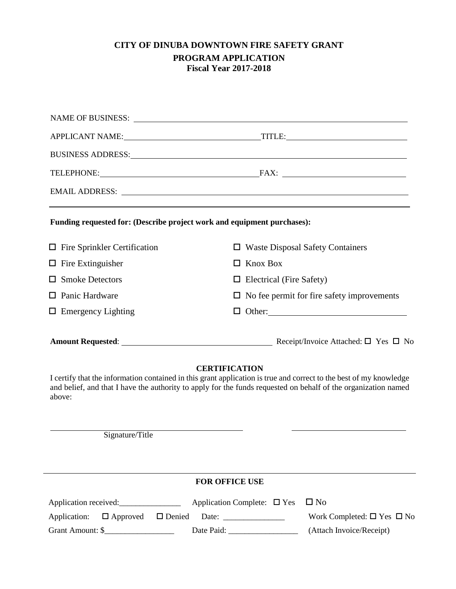### **CITY OF DINUBA DOWNTOWN FIRE SAFETY GRANT PROGRAM APPLICATION**

**Fiscal Year 2017-2018**

| APPLICANT NAME: TITLE: TITLE:                                                                                                                                                                                                  |  |  |
|--------------------------------------------------------------------------------------------------------------------------------------------------------------------------------------------------------------------------------|--|--|
| BUSINESS ADDRESS: New York Contract to the Contract of the Contract of the Contract of the Contract of the Contract of the Contract of the Contract of the Contract of the Contract of the Contract of the Contract of the Con |  |  |
| TELEPHONE: FAX: FAX:                                                                                                                                                                                                           |  |  |
| EMAIL ADDRESS: Laterature and the set of the set of the set of the set of the set of the set of the set of the set of the set of the set of the set of the set of the set of the set of the set of the set of the set of the s |  |  |
| Funding requested for: (Describe project work and equipment purchases):                                                                                                                                                        |  |  |
| <b>Waste Disposal Safety Containers</b><br>□                                                                                                                                                                                   |  |  |
| $\Box$ Knox Box                                                                                                                                                                                                                |  |  |
| $\Box$ Electrical (Fire Safety)                                                                                                                                                                                                |  |  |
| $\Box$ No fee permit for fire safety improvements                                                                                                                                                                              |  |  |
|                                                                                                                                                                                                                                |  |  |
|                                                                                                                                                                                                                                |  |  |
|                                                                                                                                                                                                                                |  |  |

### **CERTIFICATION**

I certify that the information contained in this grant application is true and correct to the best of my knowledge and belief, and that I have the authority to apply for the funds requested on behalf of the organization named above:

Signature/Title

|                       |                  | <b>FOR OFFICE USE</b>                      |                                            |
|-----------------------|------------------|--------------------------------------------|--------------------------------------------|
| Application received: |                  | Application Complete: $\Box$ Yes $\Box$ No |                                            |
|                       |                  |                                            | Work Completed: $\square$ Yes $\square$ No |
|                       | Grant Amount: \$ | Date Paid:                                 | (Attach Invoice/Receipt)                   |